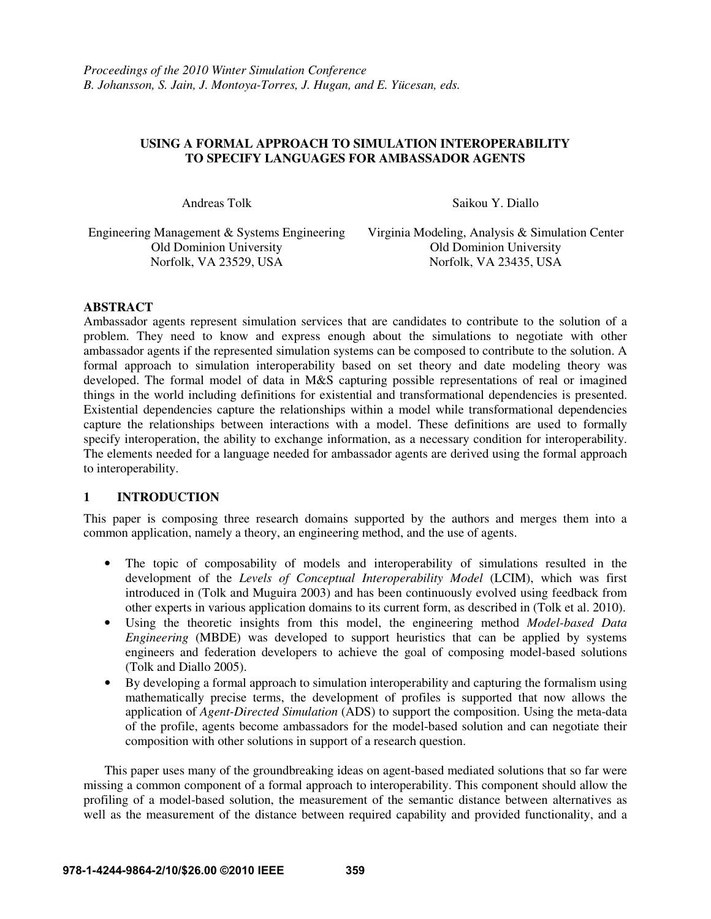# **USING A FORMAL APPROACH TO SIMULATION INTEROPERABILITY TO SPECIFY LANGUAGES FOR AMBASSADOR AGENTS**

Andreas Tolk Saikou Y. Diallo

Old Dominion University<br>
Norfolk, VA 23529, USA<br>
Norfolk, VA 23435, USA<br>
Norfolk, VA 23435, USA

Engineering Management & Systems Engineering Virginia Modeling, Analysis & Simulation Center Norfolk, VA 23435, USA

## **ABSTRACT**

Ambassador agents represent simulation services that are candidates to contribute to the solution of a problem. They need to know and express enough about the simulations to negotiate with other ambassador agents if the represented simulation systems can be composed to contribute to the solution. A formal approach to simulation interoperability based on set theory and date modeling theory was developed. The formal model of data in M&S capturing possible representations of real or imagined things in the world including definitions for existential and transformational dependencies is presented. Existential dependencies capture the relationships within a model while transformational dependencies capture the relationships between interactions with a model. These definitions are used to formally specify interoperation, the ability to exchange information, as a necessary condition for interoperability. The elements needed for a language needed for ambassador agents are derived using the formal approach to interoperability.

## **1 INTRODUCTION**

This paper is composing three research domains supported by the authors and merges them into a common application, namely a theory, an engineering method, and the use of agents.

- The topic of composability of models and interoperability of simulations resulted in the development of the *Levels of Conceptual Interoperability Model* (LCIM), which was first introduced in (Tolk and Muguira 2003) and has been continuously evolved using feedback from other experts in various application domains to its current form, as described in (Tolk et al. 2010).
- Using the theoretic insights from this model, the engineering method *Model-based Data Engineering* (MBDE) was developed to support heuristics that can be applied by systems engineers and federation developers to achieve the goal of composing model-based solutions (Tolk and Diallo 2005).
- By developing a formal approach to simulation interoperability and capturing the formalism using mathematically precise terms, the development of profiles is supported that now allows the application of *Agent-Directed Simulation* (ADS) to support the composition. Using the meta-data of the profile, agents become ambassadors for the model-based solution and can negotiate their composition with other solutions in support of a research question.

 This paper uses many of the groundbreaking ideas on agent-based mediated solutions that so far were missing a common component of a formal approach to interoperability. This component should allow the profiling of a model-based solution, the measurement of the semantic distance between alternatives as well as the measurement of the distance between required capability and provided functionality, and a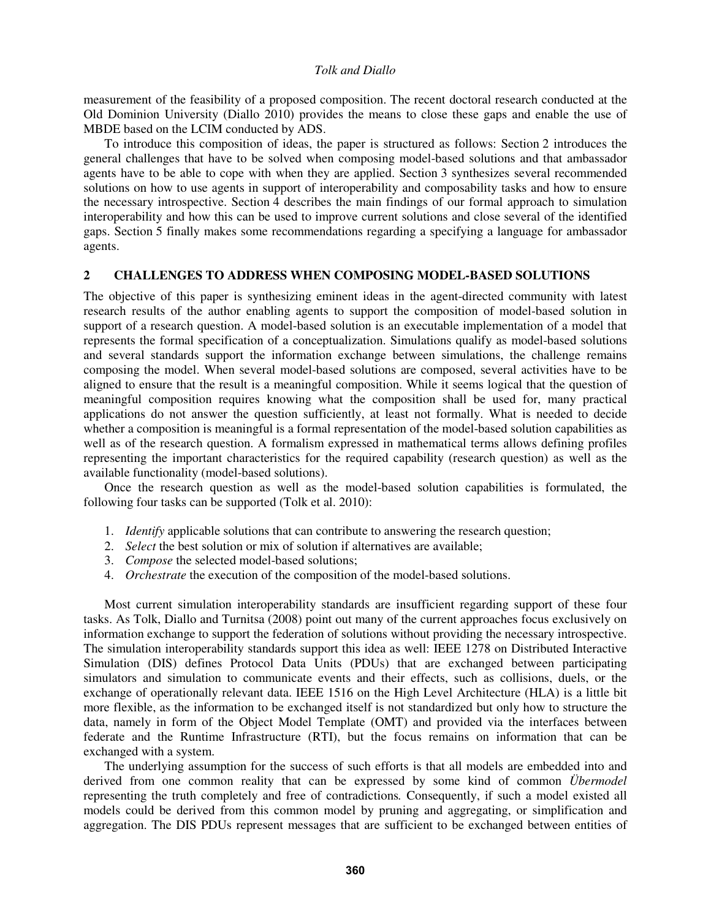measurement of the feasibility of a proposed composition. The recent doctoral research conducted at the Old Dominion University (Diallo 2010) provides the means to close these gaps and enable the use of MBDE based on the LCIM conducted by ADS.

 To introduce this composition of ideas, the paper is structured as follows: Section 2 introduces the general challenges that have to be solved when composing model-based solutions and that ambassador agents have to be able to cope with when they are applied. Section 3 synthesizes several recommended solutions on how to use agents in support of interoperability and composability tasks and how to ensure the necessary introspective. Section 4 describes the main findings of our formal approach to simulation interoperability and how this can be used to improve current solutions and close several of the identified gaps. Section 5 finally makes some recommendations regarding a specifying a language for ambassador agents.

## **2 CHALLENGES TO ADDRESS WHEN COMPOSING MODEL-BASED SOLUTIONS**

The objective of this paper is synthesizing eminent ideas in the agent-directed community with latest research results of the author enabling agents to support the composition of model-based solution in support of a research question. A model-based solution is an executable implementation of a model that represents the formal specification of a conceptualization. Simulations qualify as model-based solutions and several standards support the information exchange between simulations, the challenge remains composing the model. When several model-based solutions are composed, several activities have to be aligned to ensure that the result is a meaningful composition. While it seems logical that the question of meaningful composition requires knowing what the composition shall be used for, many practical applications do not answer the question sufficiently, at least not formally. What is needed to decide whether a composition is meaningful is a formal representation of the model-based solution capabilities as well as of the research question. A formalism expressed in mathematical terms allows defining profiles representing the important characteristics for the required capability (research question) as well as the available functionality (model-based solutions).

 Once the research question as well as the model-based solution capabilities is formulated, the following four tasks can be supported (Tolk et al. 2010):

- 1. *Identify* applicable solutions that can contribute to answering the research question;
- 2. *Select* the best solution or mix of solution if alternatives are available;
- 3. *Compose* the selected model-based solutions;
- 4. *Orchestrate* the execution of the composition of the model-based solutions.

 Most current simulation interoperability standards are insufficient regarding support of these four tasks. As Tolk, Diallo and Turnitsa (2008) point out many of the current approaches focus exclusively on information exchange to support the federation of solutions without providing the necessary introspective. The simulation interoperability standards support this idea as well: IEEE 1278 on Distributed Interactive Simulation (DIS) defines Protocol Data Units (PDUs) that are exchanged between participating simulators and simulation to communicate events and their effects, such as collisions, duels, or the exchange of operationally relevant data. IEEE 1516 on the High Level Architecture (HLA) is a little bit more flexible, as the information to be exchanged itself is not standardized but only how to structure the data, namely in form of the Object Model Template (OMT) and provided via the interfaces between federate and the Runtime Infrastructure (RTI), but the focus remains on information that can be exchanged with a system.

 The underlying assumption for the success of such efforts is that all models are embedded into and derived from one common reality that can be expressed by some kind of common *Übermodel*  representing the truth completely and free of contradictions*.* Consequently, if such a model existed all models could be derived from this common model by pruning and aggregating, or simplification and aggregation. The DIS PDUs represent messages that are sufficient to be exchanged between entities of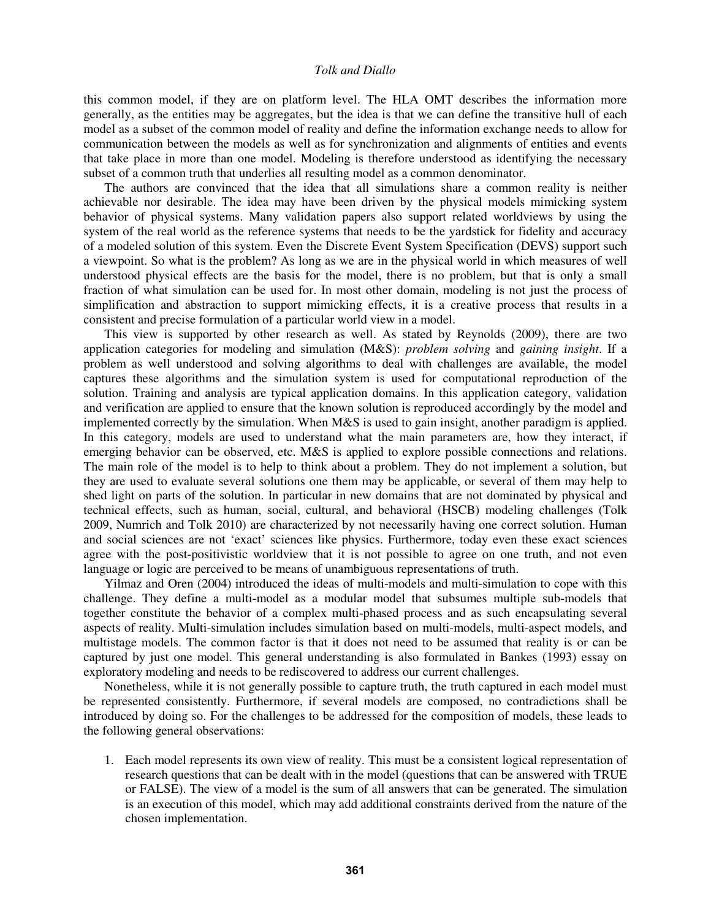this common model, if they are on platform level. The HLA OMT describes the information more generally, as the entities may be aggregates, but the idea is that we can define the transitive hull of each model as a subset of the common model of reality and define the information exchange needs to allow for communication between the models as well as for synchronization and alignments of entities and events that take place in more than one model. Modeling is therefore understood as identifying the necessary subset of a common truth that underlies all resulting model as a common denominator.

 The authors are convinced that the idea that all simulations share a common reality is neither achievable nor desirable. The idea may have been driven by the physical models mimicking system behavior of physical systems. Many validation papers also support related worldviews by using the system of the real world as the reference systems that needs to be the yardstick for fidelity and accuracy of a modeled solution of this system. Even the Discrete Event System Specification (DEVS) support such a viewpoint. So what is the problem? As long as we are in the physical world in which measures of well understood physical effects are the basis for the model, there is no problem, but that is only a small fraction of what simulation can be used for. In most other domain, modeling is not just the process of simplification and abstraction to support mimicking effects, it is a creative process that results in a consistent and precise formulation of a particular world view in a model.

 This view is supported by other research as well. As stated by Reynolds (2009), there are two application categories for modeling and simulation (M&S): *problem solving* and *gaining insight*. If a problem as well understood and solving algorithms to deal with challenges are available, the model captures these algorithms and the simulation system is used for computational reproduction of the solution. Training and analysis are typical application domains. In this application category, validation and verification are applied to ensure that the known solution is reproduced accordingly by the model and implemented correctly by the simulation. When M&S is used to gain insight, another paradigm is applied. In this category, models are used to understand what the main parameters are, how they interact, if emerging behavior can be observed, etc. M&S is applied to explore possible connections and relations. The main role of the model is to help to think about a problem. They do not implement a solution, but they are used to evaluate several solutions one them may be applicable, or several of them may help to shed light on parts of the solution. In particular in new domains that are not dominated by physical and technical effects, such as human, social, cultural, and behavioral (HSCB) modeling challenges (Tolk 2009, Numrich and Tolk 2010) are characterized by not necessarily having one correct solution. Human and social sciences are not 'exact' sciences like physics. Furthermore, today even these exact sciences agree with the post-positivistic worldview that it is not possible to agree on one truth, and not even language or logic are perceived to be means of unambiguous representations of truth.

 Yilmaz and Oren (2004) introduced the ideas of multi-models and multi-simulation to cope with this challenge. They define a multi-model as a modular model that subsumes multiple sub-models that together constitute the behavior of a complex multi-phased process and as such encapsulating several aspects of reality. Multi-simulation includes simulation based on multi-models, multi-aspect models, and multistage models. The common factor is that it does not need to be assumed that reality is or can be captured by just one model. This general understanding is also formulated in Bankes (1993) essay on exploratory modeling and needs to be rediscovered to address our current challenges.

 Nonetheless, while it is not generally possible to capture truth, the truth captured in each model must be represented consistently. Furthermore, if several models are composed, no contradictions shall be introduced by doing so. For the challenges to be addressed for the composition of models, these leads to the following general observations:

1. Each model represents its own view of reality. This must be a consistent logical representation of research questions that can be dealt with in the model (questions that can be answered with TRUE or FALSE). The view of a model is the sum of all answers that can be generated. The simulation is an execution of this model, which may add additional constraints derived from the nature of the chosen implementation.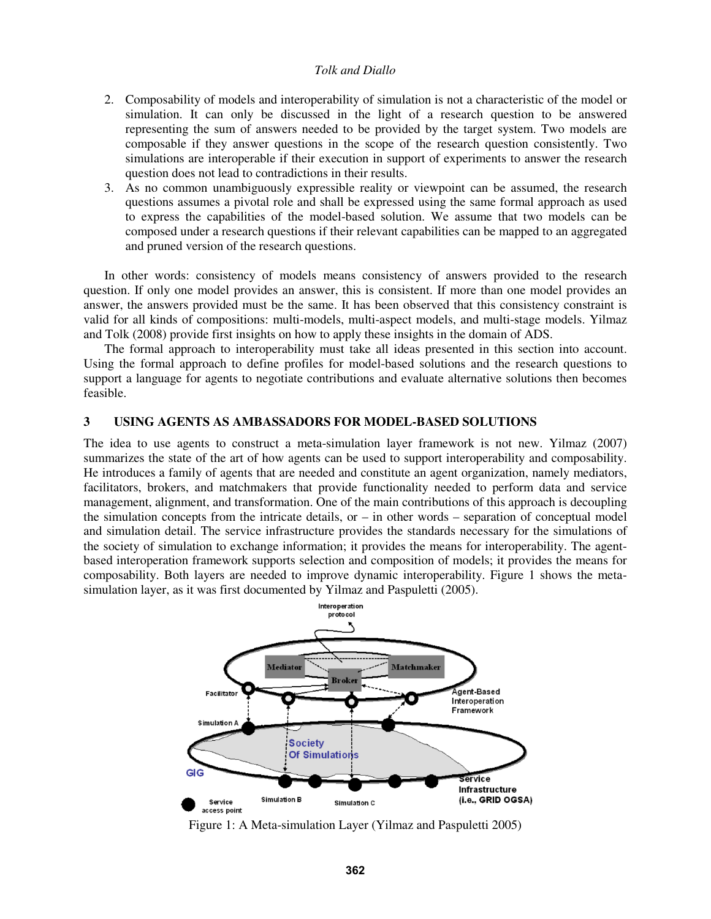- 2. Composability of models and interoperability of simulation is not a characteristic of the model or simulation. It can only be discussed in the light of a research question to be answered representing the sum of answers needed to be provided by the target system. Two models are composable if they answer questions in the scope of the research question consistently. Two simulations are interoperable if their execution in support of experiments to answer the research question does not lead to contradictions in their results.
- 3. As no common unambiguously expressible reality or viewpoint can be assumed, the research questions assumes a pivotal role and shall be expressed using the same formal approach as used to express the capabilities of the model-based solution. We assume that two models can be composed under a research questions if their relevant capabilities can be mapped to an aggregated and pruned version of the research questions.

 In other words: consistency of models means consistency of answers provided to the research question. If only one model provides an answer, this is consistent. If more than one model provides an answer, the answers provided must be the same. It has been observed that this consistency constraint is valid for all kinds of compositions: multi-models, multi-aspect models, and multi-stage models. Yilmaz and Tolk (2008) provide first insights on how to apply these insights in the domain of ADS.

 The formal approach to interoperability must take all ideas presented in this section into account. Using the formal approach to define profiles for model-based solutions and the research questions to support a language for agents to negotiate contributions and evaluate alternative solutions then becomes feasible.

## **3 USING AGENTS AS AMBASSADORS FOR MODEL-BASED SOLUTIONS**

The idea to use agents to construct a meta-simulation layer framework is not new. Yilmaz (2007) summarizes the state of the art of how agents can be used to support interoperability and composability. He introduces a family of agents that are needed and constitute an agent organization, namely mediators, facilitators, brokers, and matchmakers that provide functionality needed to perform data and service management, alignment, and transformation. One of the main contributions of this approach is decoupling the simulation concepts from the intricate details, or  $-$  in other words  $-$  separation of conceptual model and simulation detail. The service infrastructure provides the standards necessary for the simulations of the society of simulation to exchange information; it provides the means for interoperability. The agentbased interoperation framework supports selection and composition of models; it provides the means for composability. Both layers are needed to improve dynamic interoperability. Figure 1 shows the metasimulation layer, as it was first documented by Yilmaz and Paspuletti (2005).



Figure 1: A Meta-simulation Layer (Yilmaz and Paspuletti 2005)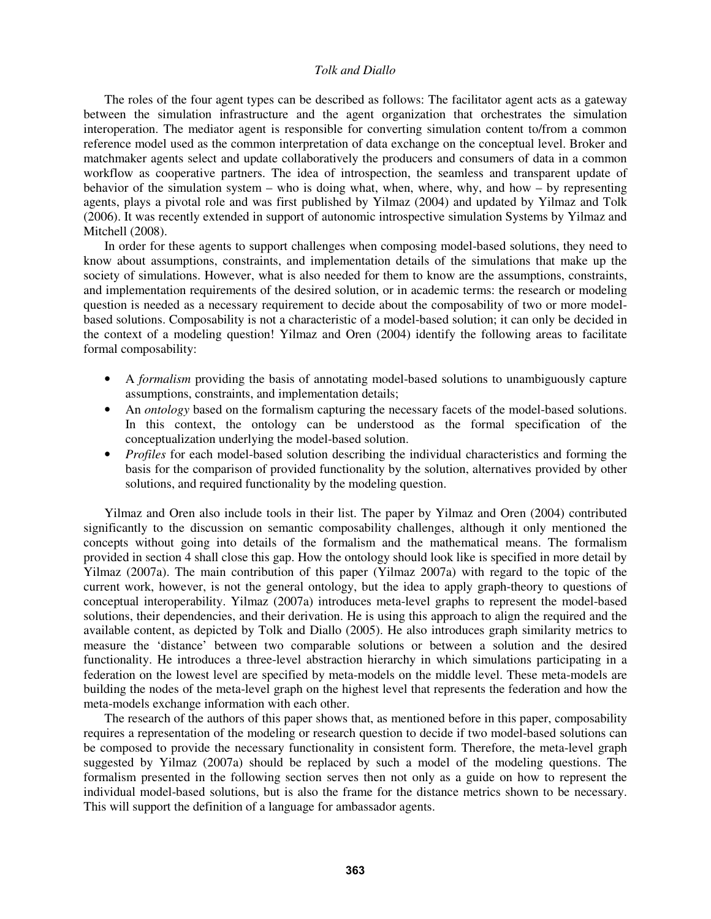The roles of the four agent types can be described as follows: The facilitator agent acts as a gateway between the simulation infrastructure and the agent organization that orchestrates the simulation interoperation. The mediator agent is responsible for converting simulation content to/from a common reference model used as the common interpretation of data exchange on the conceptual level. Broker and matchmaker agents select and update collaboratively the producers and consumers of data in a common workflow as cooperative partners. The idea of introspection, the seamless and transparent update of behavior of the simulation system – who is doing what, when, where, why, and how – by representing agents, plays a pivotal role and was first published by Yilmaz (2004) and updated by Yilmaz and Tolk (2006). It was recently extended in support of autonomic introspective simulation Systems by Yilmaz and Mitchell (2008).

 In order for these agents to support challenges when composing model-based solutions, they need to know about assumptions, constraints, and implementation details of the simulations that make up the society of simulations. However, what is also needed for them to know are the assumptions, constraints, and implementation requirements of the desired solution, or in academic terms: the research or modeling question is needed as a necessary requirement to decide about the composability of two or more modelbased solutions. Composability is not a characteristic of a model-based solution; it can only be decided in the context of a modeling question! Yilmaz and Oren (2004) identify the following areas to facilitate formal composability:

- A *formalism* providing the basis of annotating model-based solutions to unambiguously capture assumptions, constraints, and implementation details;
- An *ontology* based on the formalism capturing the necessary facets of the model-based solutions. In this context, the ontology can be understood as the formal specification of the conceptualization underlying the model-based solution.
- *Profiles* for each model-based solution describing the individual characteristics and forming the basis for the comparison of provided functionality by the solution, alternatives provided by other solutions, and required functionality by the modeling question.

 Yilmaz and Oren also include tools in their list. The paper by Yilmaz and Oren (2004) contributed significantly to the discussion on semantic composability challenges, although it only mentioned the concepts without going into details of the formalism and the mathematical means. The formalism provided in section 4 shall close this gap. How the ontology should look like is specified in more detail by Yilmaz (2007a). The main contribution of this paper (Yilmaz 2007a) with regard to the topic of the current work, however, is not the general ontology, but the idea to apply graph-theory to questions of conceptual interoperability. Yilmaz (2007a) introduces meta-level graphs to represent the model-based solutions, their dependencies, and their derivation. He is using this approach to align the required and the available content, as depicted by Tolk and Diallo (2005). He also introduces graph similarity metrics to measure the 'distance' between two comparable solutions or between a solution and the desired functionality. He introduces a three-level abstraction hierarchy in which simulations participating in a federation on the lowest level are specified by meta-models on the middle level. These meta-models are building the nodes of the meta-level graph on the highest level that represents the federation and how the meta-models exchange information with each other.

 The research of the authors of this paper shows that, as mentioned before in this paper, composability requires a representation of the modeling or research question to decide if two model-based solutions can be composed to provide the necessary functionality in consistent form. Therefore, the meta-level graph suggested by Yilmaz (2007a) should be replaced by such a model of the modeling questions. The formalism presented in the following section serves then not only as a guide on how to represent the individual model-based solutions, but is also the frame for the distance metrics shown to be necessary. This will support the definition of a language for ambassador agents.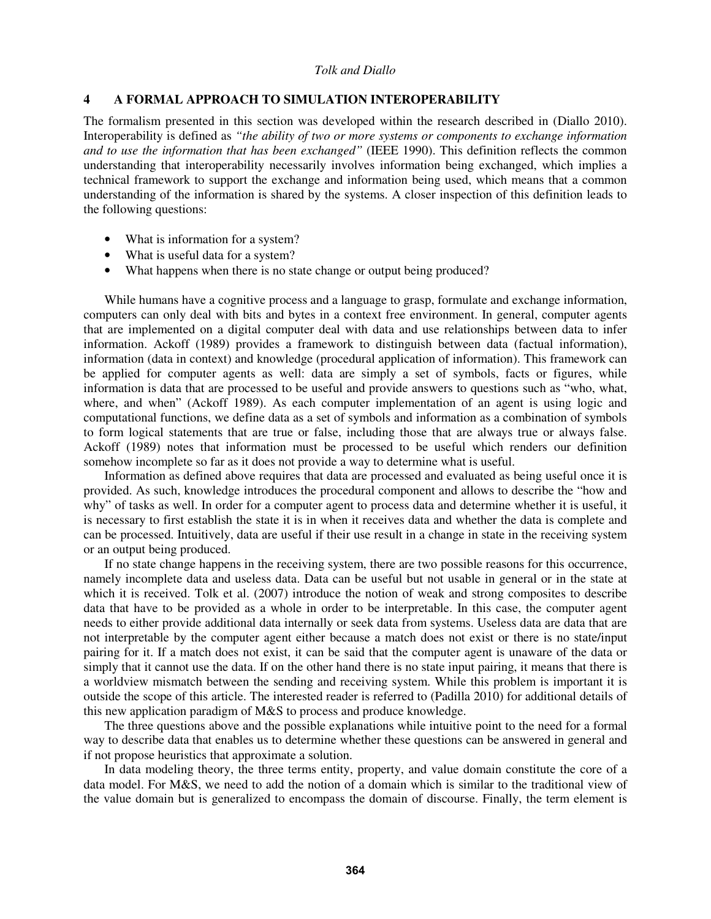## **4 A FORMAL APPROACH TO SIMULATION INTEROPERABILITY**

The formalism presented in this section was developed within the research described in (Diallo 2010). Interoperability is defined as *"the ability of two or more systems or components to exchange information and to use the information that has been exchanged"* (IEEE 1990). This definition reflects the common understanding that interoperability necessarily involves information being exchanged, which implies a technical framework to support the exchange and information being used, which means that a common understanding of the information is shared by the systems. A closer inspection of this definition leads to the following questions:

- What is information for a system?
- What is useful data for a system?
- What happens when there is no state change or output being produced?

While humans have a cognitive process and a language to grasp, formulate and exchange information, computers can only deal with bits and bytes in a context free environment. In general, computer agents that are implemented on a digital computer deal with data and use relationships between data to infer information. Ackoff (1989) provides a framework to distinguish between data (factual information), information (data in context) and knowledge (procedural application of information). This framework can be applied for computer agents as well: data are simply a set of symbols, facts or figures, while information is data that are processed to be useful and provide answers to questions such as "who, what, where, and when" (Ackoff 1989). As each computer implementation of an agent is using logic and computational functions, we define data as a set of symbols and information as a combination of symbols to form logical statements that are true or false, including those that are always true or always false. Ackoff (1989) notes that information must be processed to be useful which renders our definition somehow incomplete so far as it does not provide a way to determine what is useful.

Information as defined above requires that data are processed and evaluated as being useful once it is provided. As such, knowledge introduces the procedural component and allows to describe the "how and why" of tasks as well. In order for a computer agent to process data and determine whether it is useful, it is necessary to first establish the state it is in when it receives data and whether the data is complete and can be processed. Intuitively, data are useful if their use result in a change in state in the receiving system or an output being produced.

If no state change happens in the receiving system, there are two possible reasons for this occurrence, namely incomplete data and useless data. Data can be useful but not usable in general or in the state at which it is received. Tolk et al. (2007) introduce the notion of weak and strong composites to describe data that have to be provided as a whole in order to be interpretable. In this case, the computer agent needs to either provide additional data internally or seek data from systems. Useless data are data that are not interpretable by the computer agent either because a match does not exist or there is no state/input pairing for it. If a match does not exist, it can be said that the computer agent is unaware of the data or simply that it cannot use the data. If on the other hand there is no state input pairing, it means that there is a worldview mismatch between the sending and receiving system. While this problem is important it is outside the scope of this article. The interested reader is referred to (Padilla 2010) for additional details of this new application paradigm of M&S to process and produce knowledge.

 The three questions above and the possible explanations while intuitive point to the need for a formal way to describe data that enables us to determine whether these questions can be answered in general and if not propose heuristics that approximate a solution.

 In data modeling theory, the three terms entity, property, and value domain constitute the core of a data model. For M&S, we need to add the notion of a domain which is similar to the traditional view of the value domain but is generalized to encompass the domain of discourse. Finally, the term element is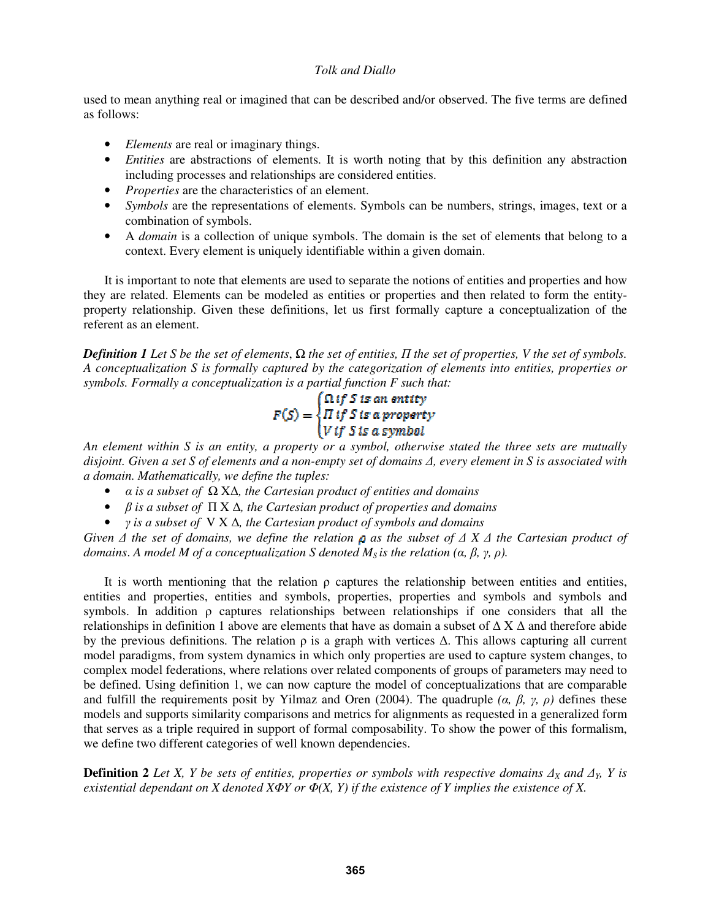used to mean anything real or imagined that can be described and/or observed. The five terms are defined as follows:

- *Elements* are real or imaginary things.
- *Entities* are abstractions of elements. It is worth noting that by this definition any abstraction including processes and relationships are considered entities.
- *Properties* are the characteristics of an element.
- *Symbols* are the representations of elements. Symbols can be numbers, strings, images, text or a combination of symbols.
- A *domain* is a collection of unique symbols. The domain is the set of elements that belong to a context. Every element is uniquely identifiable within a given domain.

 It is important to note that elements are used to separate the notions of entities and properties and how they are related. Elements can be modeled as entities or properties and then related to form the entityproperty relationship. Given these definitions, let us first formally capture a conceptualization of the referent as an element.

*Definition 1 Let S be the set of elements*, *Ω the set of entities, Π the set of properties, V the set of symbols. A conceptualization S is formally captured by the categorization of elements into entities, properties or* 

# *symbols. Formally a conceptualization is a partial function F such that:*<br> $F(S) = \begin{cases} \Omega \text{ if } S \text{ is an entity} \\ \Pi \text{ if } S \text{ is a property} \\ V \text{ if } S \text{ is a symbol} \end{cases}$

*An element within S is an entity, a property or a symbol, otherwise stated the three sets are mutually disjoint. Given a set S of elements and a non-empty set of domains ∆, every element in S is associated with a domain. Mathematically, we define the tuples:* 

- *α is a subset of* Ω X∆*, the Cartesian product of entities and domains*
- *β is a subset of* Π X ∆*, the Cartesian product of properties and domains*
- *γ is a subset of* V X ∆*, the Cartesian product of symbols and domains*

*Given ∆ the set of domains, we define the relation as the subset of ∆ X ∆ the Cartesian product of domains*. *A model M of a conceptualization S denoted M<sub>S</sub> is the relation (* $\alpha$ *,*  $\beta$ *,*  $\gamma$ *,*  $\rho$ *).* 

It is worth mentioning that the relation  $\rho$  captures the relationship between entities and entities, entities and properties, entities and symbols, properties, properties and symbols and symbols and symbols. In addition  $\rho$  captures relationships between relationships if one considers that all the relationships in definition 1 above are elements that have as domain a subset of ∆ X ∆ and therefore abide by the previous definitions. The relation  $\rho$  is a graph with vertices  $\Delta$ . This allows capturing all current model paradigms, from system dynamics in which only properties are used to capture system changes, to complex model federations, where relations over related components of groups of parameters may need to be defined. Using definition 1, we can now capture the model of conceptualizations that are comparable and fulfill the requirements posit by Yilmaz and Oren (2004). The quadruple  $(\alpha, \beta, \gamma, \rho)$  defines these models and supports similarity comparisons and metrics for alignments as requested in a generalized form that serves as a triple required in support of formal composability. To show the power of this formalism, we define two different categories of well known dependencies.

**Definition 2** *Let X, Y be sets of entities, properties or symbols with respective domains*  $\Delta_X$  *and*  $\Delta_Y$ *, Y is existential dependant on X denoted XΦY or Φ(X, Y) if the existence of Y implies the existence of X.*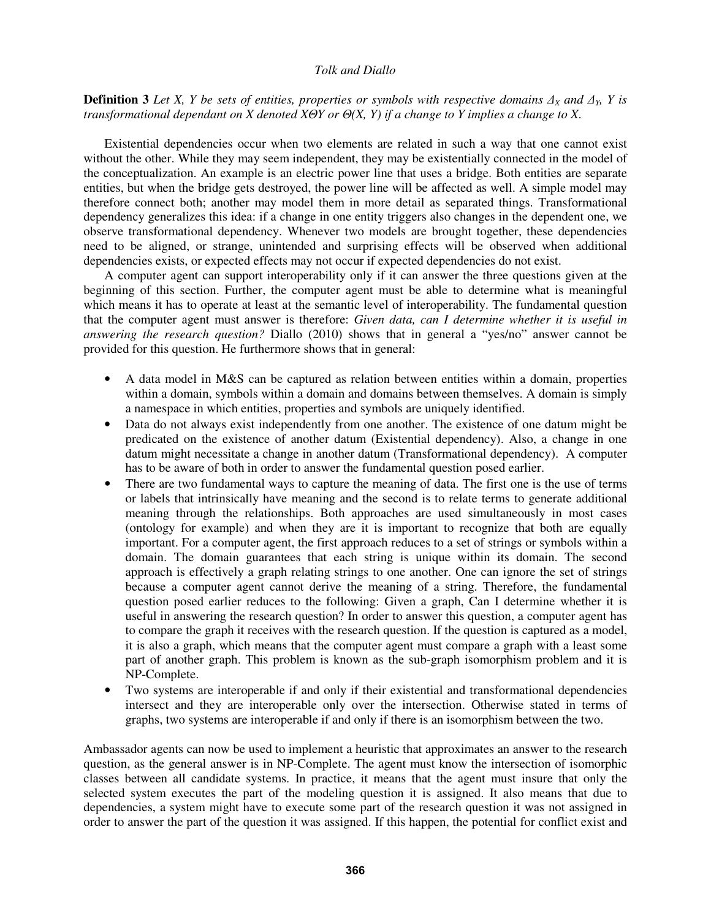**Definition 3** Let X, Y be sets of entities, properties or symbols with respective domains  $\Delta_X$  and  $\Delta_Y$ , Y is *transformational dependant on X denoted XΘY or Θ(X, Y) if a change to Y implies a change to X*.

 Existential dependencies occur when two elements are related in such a way that one cannot exist without the other. While they may seem independent, they may be existentially connected in the model of the conceptualization. An example is an electric power line that uses a bridge. Both entities are separate entities, but when the bridge gets destroyed, the power line will be affected as well. A simple model may therefore connect both; another may model them in more detail as separated things. Transformational dependency generalizes this idea: if a change in one entity triggers also changes in the dependent one, we observe transformational dependency. Whenever two models are brought together, these dependencies need to be aligned, or strange, unintended and surprising effects will be observed when additional dependencies exists, or expected effects may not occur if expected dependencies do not exist.

 A computer agent can support interoperability only if it can answer the three questions given at the beginning of this section. Further, the computer agent must be able to determine what is meaningful which means it has to operate at least at the semantic level of interoperability. The fundamental question that the computer agent must answer is therefore: *Given data, can I determine whether it is useful in answering the research question?* Diallo (2010) shows that in general a "yes/no" answer cannot be provided for this question. He furthermore shows that in general:

- A data model in M&S can be captured as relation between entities within a domain, properties within a domain, symbols within a domain and domains between themselves. A domain is simply a namespace in which entities, properties and symbols are uniquely identified.
- Data do not always exist independently from one another. The existence of one datum might be predicated on the existence of another datum (Existential dependency). Also, a change in one datum might necessitate a change in another datum (Transformational dependency). A computer has to be aware of both in order to answer the fundamental question posed earlier.
- There are two fundamental ways to capture the meaning of data. The first one is the use of terms or labels that intrinsically have meaning and the second is to relate terms to generate additional meaning through the relationships. Both approaches are used simultaneously in most cases (ontology for example) and when they are it is important to recognize that both are equally important. For a computer agent, the first approach reduces to a set of strings or symbols within a domain. The domain guarantees that each string is unique within its domain. The second approach is effectively a graph relating strings to one another. One can ignore the set of strings because a computer agent cannot derive the meaning of a string. Therefore, the fundamental question posed earlier reduces to the following: Given a graph, Can I determine whether it is useful in answering the research question? In order to answer this question, a computer agent has to compare the graph it receives with the research question. If the question is captured as a model, it is also a graph, which means that the computer agent must compare a graph with a least some part of another graph. This problem is known as the sub-graph isomorphism problem and it is NP-Complete.
- Two systems are interoperable if and only if their existential and transformational dependencies intersect and they are interoperable only over the intersection. Otherwise stated in terms of graphs, two systems are interoperable if and only if there is an isomorphism between the two.

Ambassador agents can now be used to implement a heuristic that approximates an answer to the research question, as the general answer is in NP-Complete. The agent must know the intersection of isomorphic classes between all candidate systems. In practice, it means that the agent must insure that only the selected system executes the part of the modeling question it is assigned. It also means that due to dependencies, a system might have to execute some part of the research question it was not assigned in order to answer the part of the question it was assigned. If this happen, the potential for conflict exist and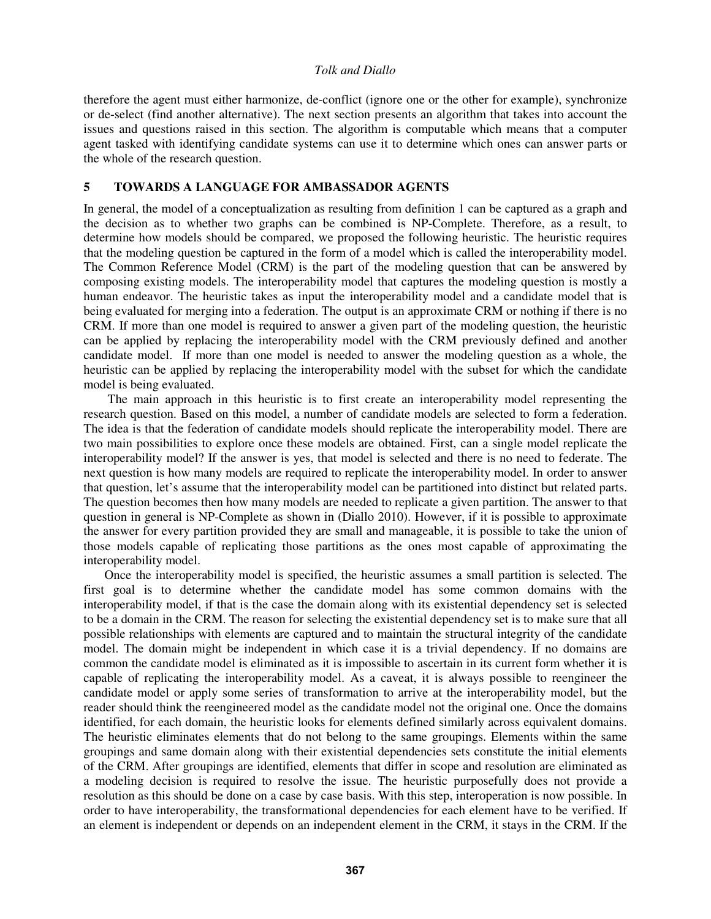therefore the agent must either harmonize, de-conflict (ignore one or the other for example), synchronize or de-select (find another alternative). The next section presents an algorithm that takes into account the issues and questions raised in this section. The algorithm is computable which means that a computer agent tasked with identifying candidate systems can use it to determine which ones can answer parts or the whole of the research question.

## **5 TOWARDS A LANGUAGE FOR AMBASSADOR AGENTS**

In general, the model of a conceptualization as resulting from definition 1 can be captured as a graph and the decision as to whether two graphs can be combined is NP-Complete. Therefore, as a result, to determine how models should be compared, we proposed the following heuristic. The heuristic requires that the modeling question be captured in the form of a model which is called the interoperability model. The Common Reference Model (CRM) is the part of the modeling question that can be answered by composing existing models. The interoperability model that captures the modeling question is mostly a human endeavor. The heuristic takes as input the interoperability model and a candidate model that is being evaluated for merging into a federation. The output is an approximate CRM or nothing if there is no CRM. If more than one model is required to answer a given part of the modeling question, the heuristic can be applied by replacing the interoperability model with the CRM previously defined and another candidate model. If more than one model is needed to answer the modeling question as a whole, the heuristic can be applied by replacing the interoperability model with the subset for which the candidate model is being evaluated.

 The main approach in this heuristic is to first create an interoperability model representing the research question. Based on this model, a number of candidate models are selected to form a federation. The idea is that the federation of candidate models should replicate the interoperability model. There are two main possibilities to explore once these models are obtained. First, can a single model replicate the interoperability model? If the answer is yes, that model is selected and there is no need to federate. The next question is how many models are required to replicate the interoperability model. In order to answer that question, let's assume that the interoperability model can be partitioned into distinct but related parts. The question becomes then how many models are needed to replicate a given partition. The answer to that question in general is NP-Complete as shown in (Diallo 2010). However, if it is possible to approximate the answer for every partition provided they are small and manageable, it is possible to take the union of those models capable of replicating those partitions as the ones most capable of approximating the interoperability model.

Once the interoperability model is specified, the heuristic assumes a small partition is selected. The first goal is to determine whether the candidate model has some common domains with the interoperability model, if that is the case the domain along with its existential dependency set is selected to be a domain in the CRM. The reason for selecting the existential dependency set is to make sure that all possible relationships with elements are captured and to maintain the structural integrity of the candidate model. The domain might be independent in which case it is a trivial dependency. If no domains are common the candidate model is eliminated as it is impossible to ascertain in its current form whether it is capable of replicating the interoperability model. As a caveat, it is always possible to reengineer the candidate model or apply some series of transformation to arrive at the interoperability model, but the reader should think the reengineered model as the candidate model not the original one. Once the domains identified, for each domain, the heuristic looks for elements defined similarly across equivalent domains. The heuristic eliminates elements that do not belong to the same groupings. Elements within the same groupings and same domain along with their existential dependencies sets constitute the initial elements of the CRM. After groupings are identified, elements that differ in scope and resolution are eliminated as a modeling decision is required to resolve the issue. The heuristic purposefully does not provide a resolution as this should be done on a case by case basis. With this step, interoperation is now possible. In order to have interoperability, the transformational dependencies for each element have to be verified. If an element is independent or depends on an independent element in the CRM, it stays in the CRM. If the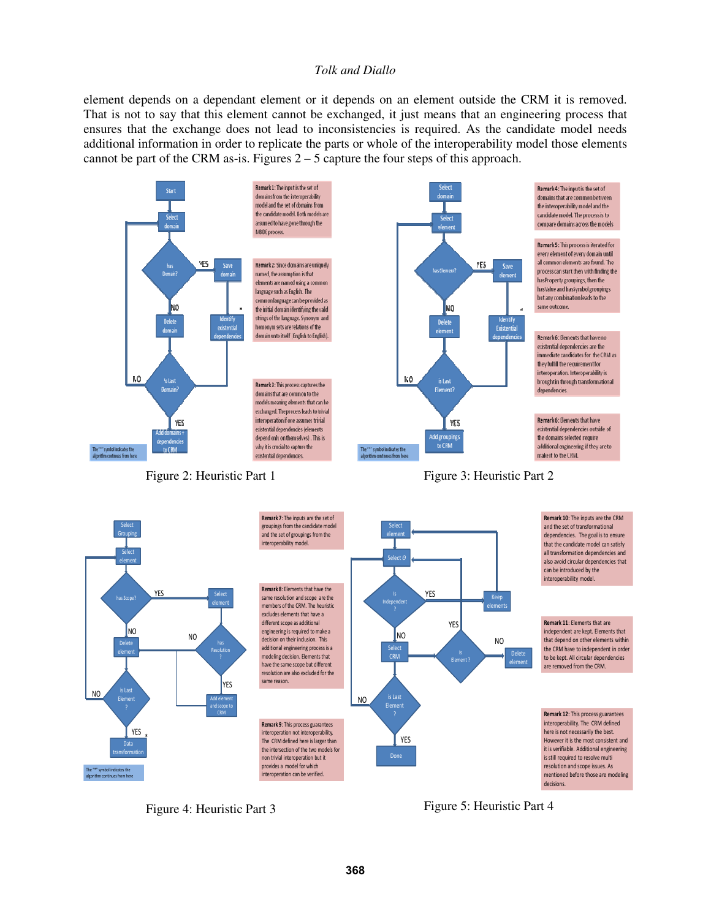element depends on a dependant element or it depends on an element outside the CRM it is removed. That is not to say that this element cannot be exchanged, it just means that an engineering process that ensures that the exchange does not lead to inconsistencies is required. As the candidate model needs additional information in order to replicate the parts or whole of the interoperability model those elements cannot be part of the CRM as-is. Figures  $2 - 5$  capture the four steps of this approach.





Data

The "\*" symbol indicates the algorithm continues from here

YES

\*

is Last

NO

Add element and scope to CRM

YES

modeling decision. Elements that have the same scope but different resolution are also excluded for the

**Remark 9**: This process guarantees interoperation not interoperability. The CRM defined here is larger than the intersection of the two models for non trivial interoperation but it provides a model for which interoperation can be verified.

same reason.



Is Element ?

Delete element

to be kept. All circular dependencies are removed from the CRM.

**Remark 12**: This process guarantees interoperability. The CRM defined here is not necessarily the best. However it is the most consistent and it is verifiable. Additional engineering is still required to resolve multi resolution and scope issues. As mentioned before those are modeling

decisions.

Done

YES

CRM

is Last Element

NO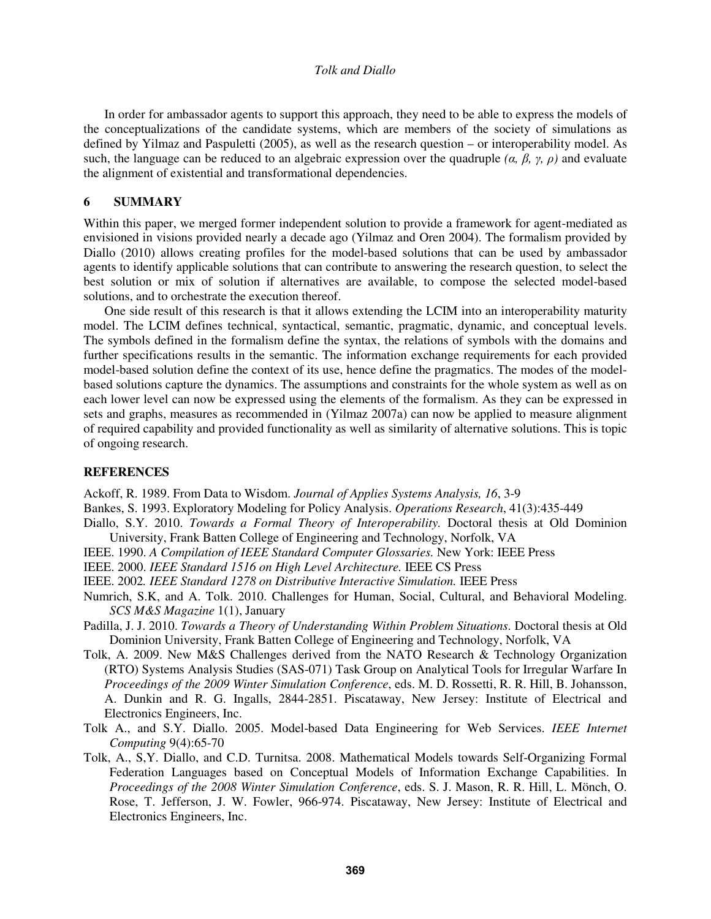In order for ambassador agents to support this approach, they need to be able to express the models of the conceptualizations of the candidate systems, which are members of the society of simulations as defined by Yilmaz and Paspuletti (2005), as well as the research question – or interoperability model. As such, the language can be reduced to an algebraic expression over the quadruple  $(\alpha, \beta, \gamma, \rho)$  and evaluate the alignment of existential and transformational dependencies.

#### **6 SUMMARY**

Within this paper, we merged former independent solution to provide a framework for agent-mediated as envisioned in visions provided nearly a decade ago (Yilmaz and Oren 2004). The formalism provided by Diallo (2010) allows creating profiles for the model-based solutions that can be used by ambassador agents to identify applicable solutions that can contribute to answering the research question, to select the best solution or mix of solution if alternatives are available, to compose the selected model-based solutions, and to orchestrate the execution thereof.

 One side result of this research is that it allows extending the LCIM into an interoperability maturity model. The LCIM defines technical, syntactical, semantic, pragmatic, dynamic, and conceptual levels. The symbols defined in the formalism define the syntax, the relations of symbols with the domains and further specifications results in the semantic. The information exchange requirements for each provided model-based solution define the context of its use, hence define the pragmatics. The modes of the modelbased solutions capture the dynamics. The assumptions and constraints for the whole system as well as on each lower level can now be expressed using the elements of the formalism. As they can be expressed in sets and graphs, measures as recommended in (Yilmaz 2007a) can now be applied to measure alignment of required capability and provided functionality as well as similarity of alternative solutions. This is topic of ongoing research.

### **REFERENCES**

Ackoff, R. 1989. From Data to Wisdom. *Journal of Applies Systems Analysis, 16*, 3-9

- Bankes, S. 1993. Exploratory Modeling for Policy Analysis. *Operations Research*, 41(3):435-449
- Diallo, S.Y. 2010. *Towards a Formal Theory of Interoperability.* Doctoral thesis at Old Dominion University, Frank Batten College of Engineering and Technology, Norfolk, VA
- IEEE. 1990. *A Compilation of IEEE Standard Computer Glossaries.* New York: IEEE Press
- IEEE. 2000. *IEEE Standard 1516 on High Level Architecture.* IEEE CS Press
- IEEE. 2002*. IEEE Standard 1278 on Distributive Interactive Simulation.* IEEE Press
- Numrich, S.K, and A. Tolk. 2010. Challenges for Human, Social, Cultural, and Behavioral Modeling. *SCS M&S Magazine* 1(1), January
- Padilla, J. J. 2010. *Towards a Theory of Understanding Within Problem Situations*. Doctoral thesis at Old Dominion University, Frank Batten College of Engineering and Technology, Norfolk, VA
- Tolk, A. 2009. New M&S Challenges derived from the NATO Research & Technology Organization (RTO) Systems Analysis Studies (SAS-071) Task Group on Analytical Tools for Irregular Warfare In *Proceedings of the 2009 Winter Simulation Conference*, eds. M. D. Rossetti, R. R. Hill, B. Johansson, A. Dunkin and R. G. Ingalls, 2844-2851. Piscataway, New Jersey: Institute of Electrical and Electronics Engineers, Inc.
- Tolk A., and S.Y. Diallo. 2005. Model-based Data Engineering for Web Services. *IEEE Internet Computing* 9(4):65-70
- Tolk, A., S,Y. Diallo, and C.D. Turnitsa. 2008. Mathematical Models towards Self-Organizing Formal Federation Languages based on Conceptual Models of Information Exchange Capabilities. In *Proceedings of the 2008 Winter Simulation Conference*, eds. S. J. Mason, R. R. Hill, L. Mönch, O. Rose, T. Jefferson, J. W. Fowler, 966-974. Piscataway, New Jersey: Institute of Electrical and Electronics Engineers, Inc.